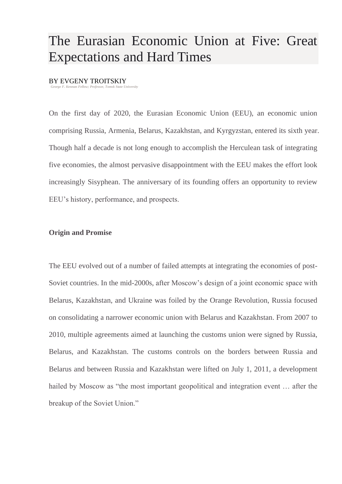# The Eurasian Economic Union at Five: Great Expectations and Hard Times

#### BY EVGENY TROITSKIY

*George F. Kennan Fellow; Professor, Tomsk State University*

On the first day of 2020, the Eurasian Economic Union (EEU), an economic union comprising Russia, Armenia, Belarus, Kazakhstan, and Kyrgyzstan, entered its sixth year. Though half a decade is not long enough to accomplish the Herculean task of integrating five economies, the almost pervasive disappointment with the EEU makes the effort look increasingly Sisyphean. The anniversary of its founding offers an opportunity to review EEU's history, performance, and prospects.

### **Origin and Promise**

The EEU evolved out of a number of failed attempts at integrating the economies of post-Soviet countries. In the mid-2000s, after Moscow's design of a joint economic space with Belarus, Kazakhstan, and Ukraine was foiled by the Orange Revolution, Russia focused on consolidating a narrower economic union with Belarus and Kazakhstan. From 2007 to 2010, multiple agreements aimed at launching the customs union were signed by Russia, Belarus, and Kazakhstan. The customs controls on the borders between Russia and Belarus and between Russia and Kazakhstan were lifted on July 1, 2011, a development hailed by Moscow as "the most important geopolitical and integration event ... after the breakup of the Soviet Union."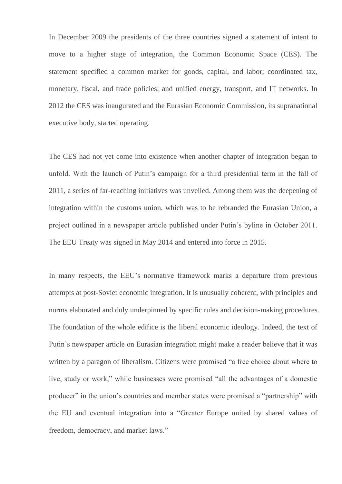In December 2009 the presidents of the three countries signed a statement of intent to move to a higher stage of integration, the Common Economic Space (CES). The statement specified a common market for goods, capital, and labor; coordinated tax, monetary, fiscal, and trade policies; and unified energy, transport, and IT networks. In 2012 the CES was inaugurated and the Eurasian Economic Commission, its supranational executive body, started operating.

The CES had not yet come into existence when another chapter of integration began to unfold. With the launch of Putin's campaign for a third presidential term in the fall of 2011, a series of far-reaching initiatives was unveiled. Among them was the deepening of integration within the customs union, which was to be rebranded the Eurasian Union, a project outlined in a newspaper article published under Putin's byline in October 2011. The EEU Treaty was signed in May 2014 and entered into force in 2015.

In many respects, the EEU's normative framework marks a departure from previous attempts at post-Soviet economic integration. It is unusually coherent, with principles and norms elaborated and duly underpinned by specific rules and decision-making procedures. The foundation of the whole edifice is the liberal economic ideology. Indeed, the text of Putin's newspaper article on Eurasian integration might make a reader believe that it was written by a paragon of liberalism. Citizens were promised "a free choice about where to live, study or work," while businesses were promised "all the advantages of a domestic producer" in the union's countries and member states were promised a "partnership" with the EU and eventual integration into a "Greater Europe united by shared values of freedom, democracy, and market laws."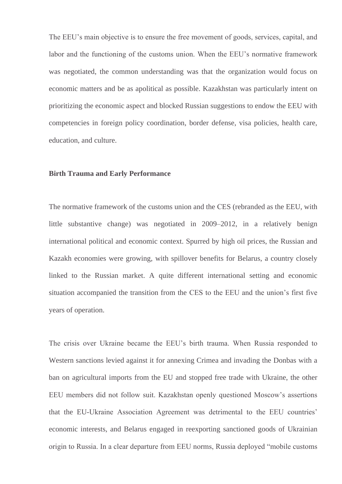The EEU's main objective is to ensure the free movement of goods, services, capital, and labor and the functioning of the customs union. When the EEU's normative framework was negotiated, the common understanding was that the organization would focus on economic matters and be as apolitical as possible. Kazakhstan was particularly intent on prioritizing the economic aspect and blocked Russian suggestions to endow the EEU with competencies in foreign policy coordination, border defense, visa policies, health care, education, and culture.

### **Birth Trauma and Early Performance**

The normative framework of the customs union and the СES (rebranded as the EEU, with little substantive change) was negotiated in 2009–2012, in a relatively benign international political and economic context. Spurred by high oil prices, the Russian and Kazakh economies were growing, with spillover benefits for Belarus, a country closely linked to the Russian market. A quite different international setting and economic situation accompanied the transition from the СES to the EEU and the union's first five years of operation.

The crisis over Ukraine became the EEU's birth trauma. When Russia responded to Western sanctions levied against it for annexing Crimea and invading the Donbas with a ban on agricultural imports from the EU and stopped free trade with Ukraine, the other EEU members did not follow suit. Kazakhstan openly questioned Moscow's assertions that the EU-Ukraine Association Agreement was detrimental to the EEU countries' economic interests, and Belarus engaged in reexporting sanctioned goods of Ukrainian origin to Russia. In a clear departure from EEU norms, Russia deployed "mobile customs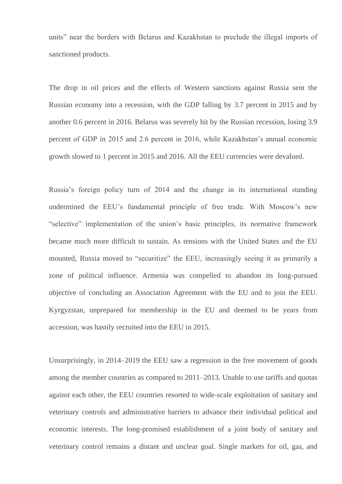units" near the borders with Belarus and Kazakhstan to preclude the illegal imports of sanctioned products.

The drop in oil prices and the effects of Western sanctions against Russia sent the Russian economy into a recession, with the GDP falling by 3.7 percent in 2015 and by another 0.6 percent in 2016. Belarus was severely hit by the Russian recession, losing 3.9 percent of GDP in 2015 and 2.6 percent in 2016, while Kazakhstan's annual economic growth slowed to 1 percent in 2015 and 2016. All the EEU currencies were devalued.

Russia's foreign policy turn of 2014 and the change in its international standing undermined the EEU's fundamental principle of free trade. With Moscow's new "selective" implementation of the union's basic principles, its normative framework became much more difficult to sustain. As tensions with the United States and the EU mounted, Russia moved to "securitize" the EEU, increasingly seeing it as primarily a zone of political influence. Armenia was compelled to abandon its long-pursued objective of concluding an Association Agreement with the EU and to join the EEU. Kyrgyzstan, unprepared for membership in the EU and deemed to be years from accession, was hastily recruited into the EEU in 2015.

Unsurprisingly, in 2014–2019 the EEU saw a regression in the free movement of goods among the member countries as compared to 2011–2013. Unable to use tariffs and quotas against each other, the EEU countries resorted to wide-scale exploitation of sanitary and veterinary controls and administrative barriers to advance their individual political and economic interests. The long-promised establishment of a joint body of sanitary and veterinary control remains a distant and unclear goal. Single markets for oil, gas, and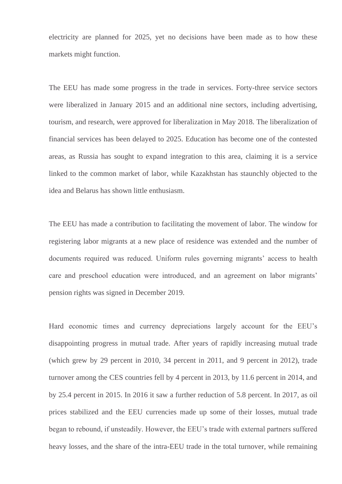electricity are planned for 2025, yet no decisions have been made as to how these markets might function.

The EEU has made some progress in the trade in services. Forty-three service sectors were liberalized in January 2015 and an additional nine sectors, including advertising, tourism, and research, were approved for liberalization in May 2018. The liberalization of financial services has been delayed to 2025. Education has become one of the contested areas, as Russia has sought to expand integration to this area, claiming it is a service linked to the common market of labor, while Kazakhstan has staunchly objected to the idea and Belarus has shown little enthusiasm.

The EEU has made a contribution to facilitating the movement of labor. The window for registering labor migrants at a new place of residence was extended and the number of documents required was reduced. Uniform rules governing migrants' access to health care and preschool education were introduced, and an agreement on labor migrants' pension rights was signed in December 2019.

Hard economic times and currency depreciations largely account for the EEU's disappointing progress in mutual trade. After years of rapidly increasing mutual trade (which grew by 29 percent in 2010, 34 percent in 2011, and 9 percent in 2012), trade turnover among the CES countries fell by 4 percent in 2013, by 11.6 percent in 2014, and by 25.4 percent in 2015. In 2016 it saw a further reduction of 5.8 percent. In 2017, as oil prices stabilized and the EEU currencies made up some of their losses, mutual trade began to rebound, if unsteadily. However, the EEU's trade with external partners suffered heavy losses, and the share of the intra-EEU trade in the total turnover, while remaining